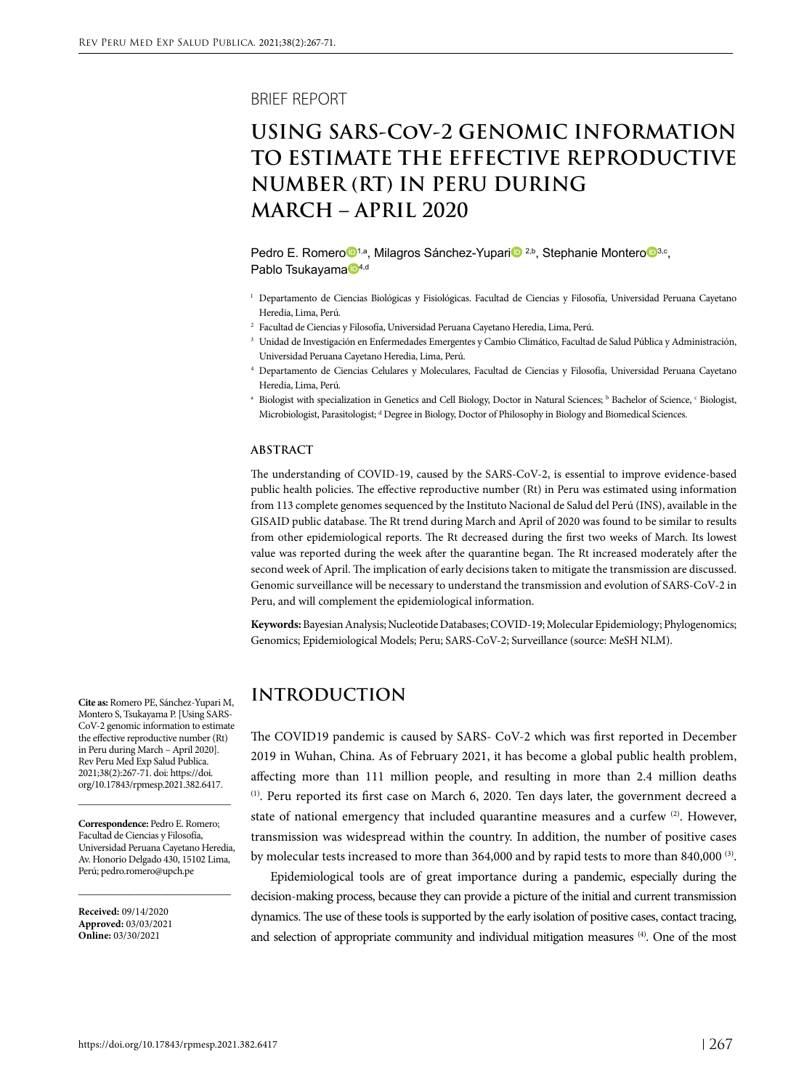BRIEF REPORT

# **USING SARS-CoV-2 GENOMIC INFORMATION TO ESTIMATE THE EFFECTIVE REPRODUCTIVE NUMBER (RT) IN PERU DURING MARCH – APRIL 2020**

Pedr[o](https://orcid.org/0000-0001-9947-3868) E. Romero<sup>n,a</sup>, M[i](https://orcid.org/0000-0003-2113-0253)lagros Sánchez-Yupari<sup>n</sup> <sup>2,b</sup>, Stephanie Montero<sup>n</sup><sup>[3](https://orcid.org/0000-0002-8147-8318),c</sup>, P[a](https://orcid.org/0000-0002-1669-2553)blo Tsukayama<sup>D4,d</sup>

- <sup>1</sup> Departamento de Ciencias Biológicas y Fisiológicas. Facultad de Ciencias y Filosofía, Universidad Peruana Cayetano Heredia, Lima, Perú.
- <sup>2</sup> Facultad de Ciencias y Filosofía, Universidad Peruana Cayetano Heredia, Lima, Perú.
- <sup>3</sup> Unidad de Investigación en Enfermedades Emergentes y Cambio Climático, Facultad de Salud Pública y Administración, Universidad Peruana Cayetano Heredia, Lima, Perú.
- <sup>4</sup> Departamento de Ciencias Celulares y Moleculares, Facultad de Ciencias y Filosofía, Universidad Peruana Cayetano Heredia, Lima, Perú.
- a Biologist with specialization in Genetics and Cell Biology, Doctor in Natural Sciences; ' Bachelor of Science, ' Biologist, Microbiologist, Parasitologist; <sup>d</sup> Degree in Biology, Doctor of Philosophy in Biology and Biomedical Sciences.

#### **ABSTRACT**

The understanding of COVID-19, caused by the SARS-CoV-2, is essential to improve evidence-based public health policies. The effective reproductive number (Rt) in Peru was estimated using information from 113 complete genomes sequenced by the Instituto Nacional de Salud del Perú (INS), available in the GISAID public database. The Rt trend during March and April of 2020 was found to be similar to results from other epidemiological reports. The Rt decreased during the first two weeks of March. Its lowest value was reported during the week after the quarantine began. The Rt increased moderately after the second week of April. The implication of early decisions taken to mitigate the transmission are discussed. Genomic surveillance will be necessary to understand the transmission and evolution of SARS-CoV-2 in Peru, and will complement the epidemiological information.

**Keywords:** Bayesian Analysis; Nucleotide Databases; COVID-19; Molecular Epidemiology; Phylogenomics; Genomics; Epidemiological Models; Peru; SARS-CoV-2; Surveillance (source: MeSH NLM).

# **INTRODUCTION**

The COVID19 pandemic is caused by SARS- CoV-2 which was first reported in December 2019 in Wuhan, China. As of February 2021, it has become a global public health problem, affecting more than 111 million people, and resulting in more than 2.4 million deaths  $<sup>(1)</sup>$ . Peru reported its first case on March 6, 2020. Ten days later, the government decreed a</sup> state of national emergency that included quarantine measures and a curfew  $(2)$ . However, transmission was widespread within the country. In addition, the number of positive cases by molecular tests increased to more than  $364,000$  and by rapid tests to more than  $840,000$  <sup>(3)</sup>.

Epidemiological tools are of great importance during a pandemic, especially during the decision-making process, because they can provide a picture of the initial and current transmission dynamics. The use of these tools is supported by the early isolation of positive cases, contact tracing, and selection of appropriate community and individual mitigation measures (4). One of the most

**Cite as:** Romero PE, Sánchez-Yupari M, Montero S, Tsukayama P. [Using SARS-CoV-2 genomic information to estimate the effective reproductive number (Rt) in Peru during March – April 2020]. Rev Peru Med Exp Salud Publica. 2021;38(2):267-71. doi: https://doi. org/10.17843/rpmesp.2021.382.6417.

**Correspondence:** Pedro E. Romero; Facultad de Ciencias y Filosofía, Universidad Peruana Cayetano Heredia, Av. Honorio Delgado 430, 15102 Lima, Perú; pedro.romero@upch.pe

\_\_\_\_\_\_\_\_\_\_\_\_\_\_\_\_\_\_\_\_\_\_\_\_\_\_\_\_\_\_\_\_\_

\_\_\_\_\_\_\_\_\_\_\_\_\_\_\_\_\_\_\_\_\_\_\_\_\_\_\_\_\_\_\_\_\_

**Received:** 09/14/2020 **Approved:** 03/03/2021 **Online:** 03/30/2021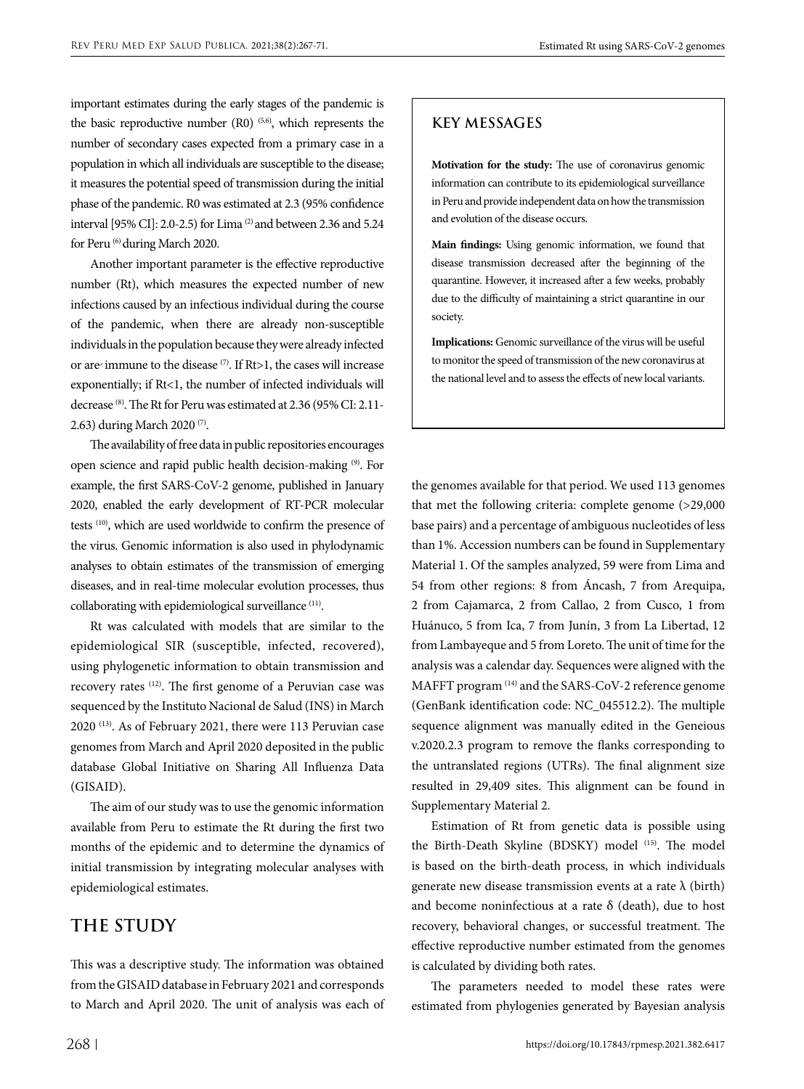important estimates during the early stages of the pandemic is the basic reproductive number  $(R0)$  (5,6), which represents the number of secondary cases expected from a primary case in a population in which all individuals are susceptible to the disease; it measures the potential speed of transmission during the initial phase of the pandemic. R0 was estimated at 2.3 (95% confidence interval [95% CI]: 2.0-2.5) for Lima (2) and between 2.36 and 5.24 for Peru (6) during March 2020.

Another important parameter is the effective reproductive number (Rt), which measures the expected number of new infections caused by an infectious individual during the course of the pandemic, when there are already non-susceptible individuals in the population because they were already infected or are immune to the disease (7). If Rt>1, the cases will increase exponentially; if Rt<1, the number of infected individuals will decrease (8). The Rt for Peru was estimated at 2.36 (95% CI: 2.11- 2.63) during March 2020 (7).

The availability of free data in public repositories encourages open science and rapid public health decision-making (9). For example, the first SARS-CoV-2 genome, published in January 2020, enabled the early development of RT-PCR molecular tests (10), which are used worldwide to confirm the presence of the virus. Genomic information is also used in phylodynamic analyses to obtain estimates of the transmission of emerging diseases, and in real-time molecular evolution processes, thus collaborating with epidemiological surveillance (11).

Rt was calculated with models that are similar to the epidemiological SIR (susceptible, infected, recovered), using phylogenetic information to obtain transmission and recovery rates (12). The first genome of a Peruvian case was sequenced by the Instituto Nacional de Salud (INS) in March 2020 (13). As of February 2021, there were 113 Peruvian case genomes from March and April 2020 deposited in the public database Global Initiative on Sharing All Influenza Data (GISAID).

The aim of our study was to use the genomic information available from Peru to estimate the Rt during the first two months of the epidemic and to determine the dynamics of initial transmission by integrating molecular analyses with epidemiological estimates.

# **THE STUDY**

This was a descriptive study. The information was obtained from the GISAID database in February 2021 and corresponds to March and April 2020. The unit of analysis was each of

### **KEY MESSAGES**

**Motivation for the study:** The use of coronavirus genomic information can contribute to its epidemiological surveillance in Peru and provide independent data on how the transmission and evolution of the disease occurs.

**Main findings:** Using genomic information, we found that disease transmission decreased after the beginning of the quarantine. However, it increased after a few weeks, probably due to the difficulty of maintaining a strict quarantine in our society.

**Implications:** Genomic surveillance of the virus will be useful to monitor the speed of transmission of the new coronavirus at the national level and to assess the effects of new local variants.

the genomes available for that period. We used 113 genomes that met the following criteria: complete genome (>29,000 base pairs) and a percentage of ambiguous nucleotides of less than 1%. Accession numbers can be found in Supplementary Material 1. Of the samples analyzed, 59 were from Lima and 54 from other regions: 8 from Áncash, 7 from Arequipa, 2 from Cajamarca, 2 from Callao, 2 from Cusco, 1 from Huánuco, 5 from Ica, 7 from Junín, 3 from La Libertad, 12 from Lambayeque and 5 from Loreto. The unit of time for the analysis was a calendar day. Sequences were aligned with the MAFFT program (14) and the SARS-CoV-2 reference genome (GenBank identification code: NC\_045512.2). The multiple sequence alignment was manually edited in the Geneious v.2020.2.3 program to remove the flanks corresponding to the untranslated regions (UTRs). The final alignment size resulted in 29,409 sites. This alignment can be found in Supplementary Material 2.

Estimation of Rt from genetic data is possible using the Birth-Death Skyline (BDSKY) model (15). The model is based on the birth-death process, in which individuals generate new disease transmission events at a rate  $\lambda$  (birth) and become noninfectious at a rate  $\delta$  (death), due to host recovery, behavioral changes, or successful treatment. The effective reproductive number estimated from the genomes is calculated by dividing both rates.

The parameters needed to model these rates were estimated from phylogenies generated by Bayesian analysis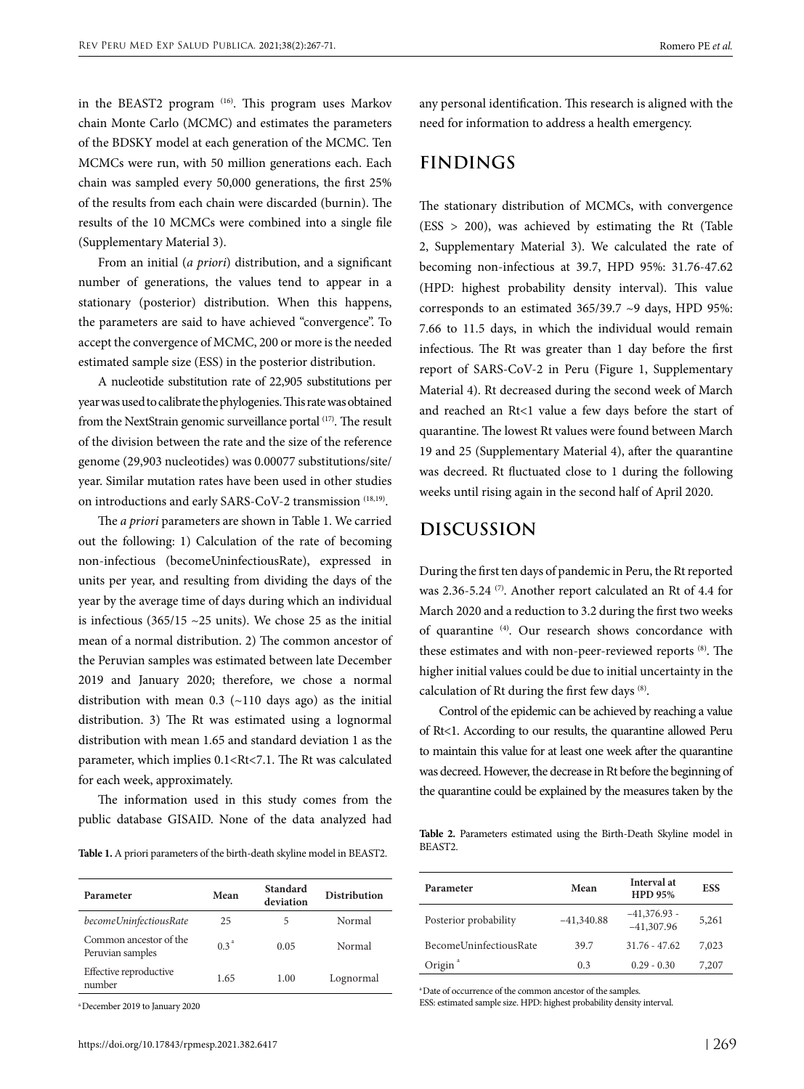in the BEAST2 program (16). This program uses Markov chain Monte Carlo (MCMC) and estimates the parameters of the BDSKY model at each generation of the MCMC. Ten MCMCs were run, with 50 million generations each. Each chain was sampled every 50,000 generations, the first 25% of the results from each chain were discarded (burnin). The results of the 10 MCMCs were combined into a single file (Supplementary Material 3).

From an initial (*a priori*) distribution, and a significant number of generations, the values tend to appear in a stationary (posterior) distribution. When this happens, the parameters are said to have achieved "convergence". To accept the convergence of MCMC, 200 or more is the needed estimated sample size (ESS) in the posterior distribution.

A nucleotide substitution rate of 22,905 substitutions per year was used to calibrate the phylogenies. This rate was obtained from the NextStrain genomic surveillance portal (17). The result of the division between the rate and the size of the reference genome (29,903 nucleotides) was 0.00077 substitutions/site/ year. Similar mutation rates have been used in other studies on introductions and early SARS-CoV-2 transmission (18,19).

The *a priori* parameters are shown in Table 1. We carried out the following: 1) Calculation of the rate of becoming non-infectious (becomeUninfectiousRate), expressed in units per year, and resulting from dividing the days of the year by the average time of days during which an individual is infectious (365/15  $\sim$ 25 units). We chose 25 as the initial mean of a normal distribution. 2) The common ancestor of the Peruvian samples was estimated between late December 2019 and January 2020; therefore, we chose a normal distribution with mean  $0.3$  ( $\sim$ 110 days ago) as the initial distribution. 3) The Rt was estimated using a lognormal distribution with mean 1.65 and standard deviation 1 as the parameter, which implies 0.1<Rt<7.1. The Rt was calculated for each week, approximately.

The information used in this study comes from the public database GISAID. None of the data analyzed had

**Table 1.** A priori parameters of the birth-death skyline model in BEAST2.

| Parameter                                  | Mean             | Standard<br>deviation | Distribution |
|--------------------------------------------|------------------|-----------------------|--------------|
| becomeUninfectiousRate                     | 25               | 5                     | Normal       |
| Common ancestor of the<br>Peruvian samples | 0.3 <sup>a</sup> | 0.05                  | Normal       |
| Effective reproductive<br>number           | 1.65             | 1.00                  | Lognormal    |

a December 2019 to January 2020

any personal identification. This research is aligned with the need for information to address a health emergency.

# **FINDINGS**

The stationary distribution of MCMCs, with convergence (ESS > 200), was achieved by estimating the Rt (Table 2, Supplementary Material 3). We calculated the rate of becoming non-infectious at 39.7, HPD 95%: 31.76-47.62 (HPD: highest probability density interval). This value corresponds to an estimated 365/39.7 ~9 days, HPD 95%: 7.66 to 11.5 days, in which the individual would remain infectious. The Rt was greater than 1 day before the first report of SARS-CoV-2 in Peru (Figure 1, Supplementary Material 4). Rt decreased during the second week of March and reached an Rt<1 value a few days before the start of quarantine. The lowest Rt values were found between March 19 and 25 (Supplementary Material 4), after the quarantine was decreed. Rt fluctuated close to 1 during the following weeks until rising again in the second half of April 2020.

## **DISCUSSION**

During the first ten days of pandemic in Peru, the Rt reported was 2.36-5.24<sup>(7)</sup>. Another report calculated an Rt of 4.4 for March 2020 and a reduction to 3.2 during the first two weeks of quarantine (4). Our research shows concordance with these estimates and with non-peer-reviewed reports (8). The higher initial values could be due to initial uncertainty in the calculation of Rt during the first few days (8).

Control of the epidemic can be achieved by reaching a value of Rt<1. According to our results, the quarantine allowed Peru to maintain this value for at least one week after the quarantine was decreed. However, the decrease in Rt before the beginning of the quarantine could be explained by the measures taken by the

**Table 2.** Parameters estimated using the Birth-Death Skyline model in BEAST2.

| Parameter              | Mean         | Interval at<br><b>HPD 95%</b>  | <b>ESS</b> |
|------------------------|--------------|--------------------------------|------------|
| Posterior probability  | $-41,340.88$ | $-41,376.93$ -<br>$-41,307.96$ | 5,261      |
| BecomeUninfectiousRate | 39.7         | $31.76 - 47.62$                | 7,023      |
| Origin <sup>a</sup>    | 0.3          | $0.29 - 0.30$                  | 7,207      |

a Date of occurrence of the common ancestor of the samples.

ESS: estimated sample size. HPD: highest probability density interval.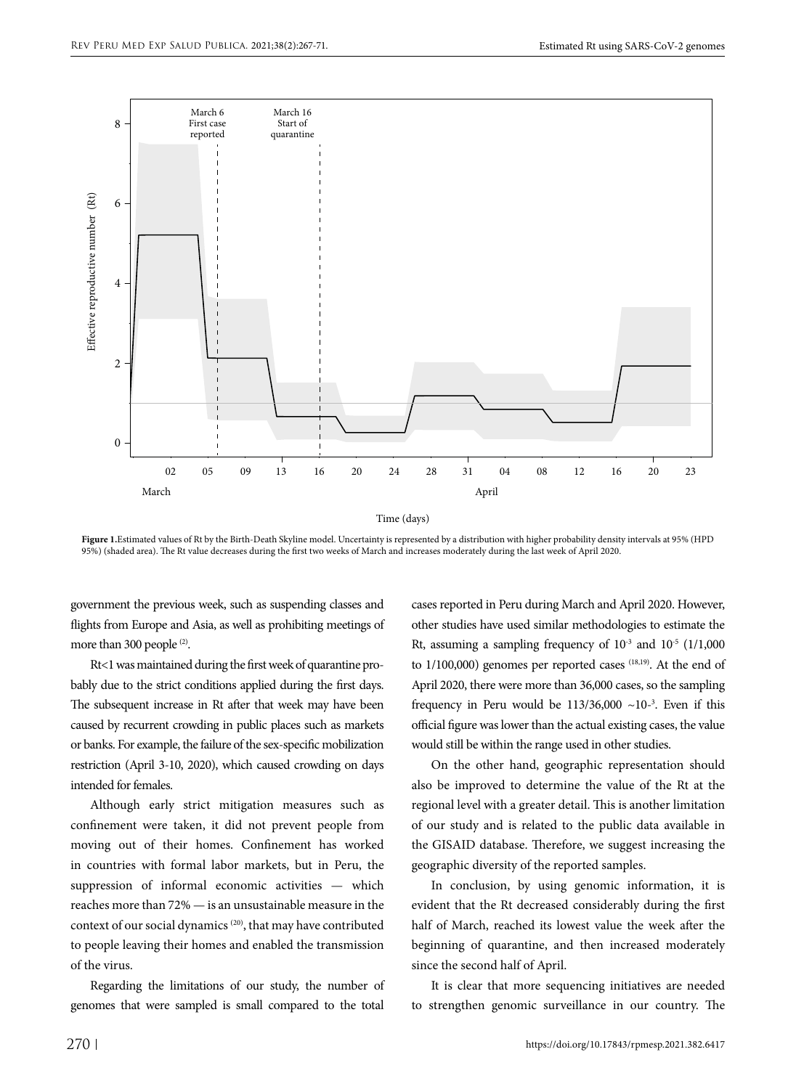

Time (days)

**Figure 1.**Estimated values of Rt by the Birth-Death Skyline model. Uncertainty is represented by a distribution with higher probability density intervals at 95% (HPD 95%) (shaded area). The Rt value decreases during the first two weeks of March and increases moderately during the last week of April 2020.

government the previous week, such as suspending classes and flights from Europe and Asia, as well as prohibiting meetings of more than 300 people <sup>(2)</sup>.

Rt<1 was maintained during the first week of quarantine probably due to the strict conditions applied during the first days. The subsequent increase in Rt after that week may have been caused by recurrent crowding in public places such as markets or banks. For example, the failure of the sex-specific mobilization restriction (April 3-10, 2020), which caused crowding on days intended for females.

Although early strict mitigation measures such as confinement were taken, it did not prevent people from moving out of their homes. Confinement has worked in countries with formal labor markets, but in Peru, the suppression of informal economic activities — which reaches more than 72% — is an unsustainable measure in the context of our social dynamics (20), that may have contributed to people leaving their homes and enabled the transmission of the virus.

Regarding the limitations of our study, the number of genomes that were sampled is small compared to the total

cases reported in Peru during March and April 2020. However, other studies have used similar methodologies to estimate the Rt, assuming a sampling frequency of  $10^{-3}$  and  $10^{-5}$  (1/1,000 to 1/100,000) genomes per reported cases (18,19). At the end of April 2020, there were more than 36,000 cases, so the sampling frequency in Peru would be  $113/36,000$  ~10<sup>-3</sup>. Even if this official figure was lower than the actual existing cases, the value would still be within the range used in other studies.

On the other hand, geographic representation should also be improved to determine the value of the Rt at the regional level with a greater detail. This is another limitation of our study and is related to the public data available in the GISAID database. Therefore, we suggest increasing the geographic diversity of the reported samples.

In conclusion, by using genomic information, it is evident that the Rt decreased considerably during the first half of March, reached its lowest value the week after the beginning of quarantine, and then increased moderately since the second half of April.

It is clear that more sequencing initiatives are needed to strengthen genomic surveillance in our country. The